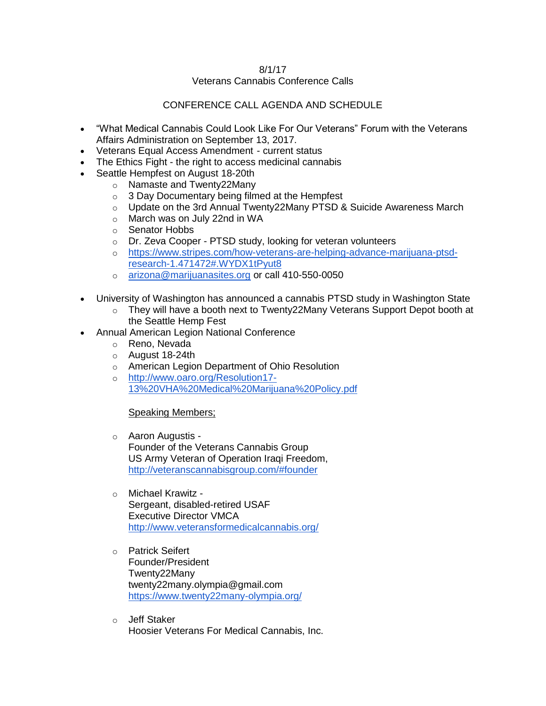#### 8/1/17

## Veterans Cannabis Conference Calls

## CONFERENCE CALL AGENDA AND SCHEDULE

- "What Medical Cannabis Could Look Like For Our Veterans" Forum with the Veterans Affairs Administration on September 13, 2017.
- Veterans Equal Access Amendment current status
- The Ethics Fight the right to access medicinal cannabis
- Seattle Hempfest on August 18-20th
	- o Namaste and Twenty22Many
	- o 3 Day Documentary being filmed at the Hempfest
	- $\circ$  Update on the 3rd Annual Twenty22Many PTSD & Suicide Awareness March
	- o March was on July 22nd in WA
	- o Senator Hobbs
	- o Dr. Zeva Cooper PTSD study, looking for veteran volunteers
	- o [https://www.stripes.com/how-veterans-are-helping-advance-marijuana-ptsd](https://www.stripes.com/how-veterans-are-helping-advance-marijuana-ptsd-research-1.471472#.WYDX1tPyut8)[research-1.471472#.WYDX1tPyut8](https://www.stripes.com/how-veterans-are-helping-advance-marijuana-ptsd-research-1.471472#.WYDX1tPyut8)
	- o [arizona@marijuanasites.org](mailto:arizona@marijuanasites.org) or call 410-550-0050
- University of Washington has announced a cannabis PTSD study in Washington State
	- o They will have a booth next to Twenty22Many Veterans Support Depot booth at the Seattle Hemp Fest
- Annual American Legion National Conference
	- o Reno, Nevada
	- o August 18-24th
	- o American Legion Department of Ohio Resolution
	- o [http://www.oaro.org/Resolution17-](http://www.oaro.org/Resolution17-13%20VHA%20Medical%20Marijuana%20Policy.pdf) [13%20VHA%20Medical%20Marijuana%20Policy.pdf](http://www.oaro.org/Resolution17-13%20VHA%20Medical%20Marijuana%20Policy.pdf)

#### Speaking Members;

- o Aaron Augustis Founder of the Veterans Cannabis Group US Army Veteran of Operation Iraqi Freedom, <http://veteranscannabisgroup.com/#founder>
- o Michael Krawitz Sergeant, disabled-retired USAF Executive Director VMCA <http://www.veteransformedicalcannabis.org/>
- o Patrick Seifert Founder/President Twenty22Many twenty22many.olympia@gmail.com <https://www.twenty22many-olympia.org/>
- o Jeff Staker Hoosier Veterans For Medical Cannabis, Inc.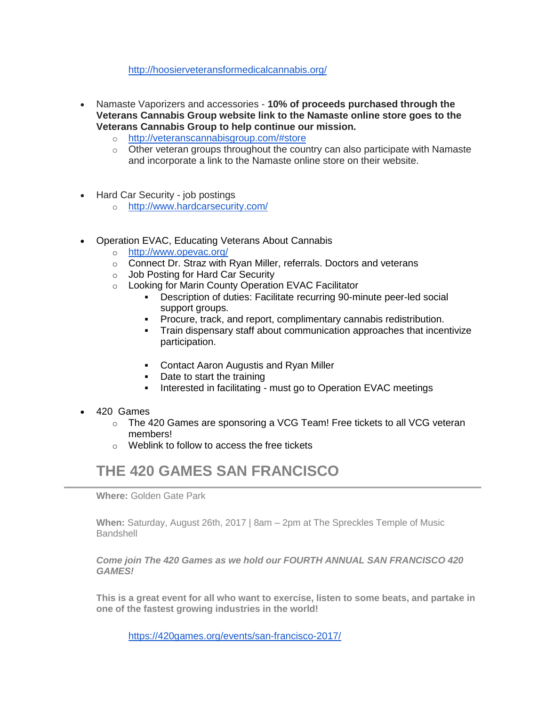<http://hoosierveteransformedicalcannabis.org/>

- Namaste Vaporizers and accessories **10% of proceeds purchased through the Veterans Cannabis Group website link to the Namaste online store goes to the Veterans Cannabis Group to help continue our mission.**
	- o <http://veteranscannabisgroup.com/#store>
	- $\circ$  Other veteran groups throughout the country can also participate with Namaste and incorporate a link to the Namaste online store on their website.
- Hard Car Security job postings
	- o <http://www.hardcarsecurity.com/>
- Operation EVAC, Educating Veterans About Cannabis
	- o <http://www.opevac.org/>
	- o Connect Dr. Straz with Ryan Miller, referrals. Doctors and veterans
	- o Job Posting for Hard Car Security
	- o Looking for Marin County Operation EVAC Facilitator
		- **•** Description of duties: Facilitate recurring 90-minute peer-led social support groups.
		- Procure, track, and report, complimentary cannabis redistribution.
		- Train dispensary staff about communication approaches that incentivize participation.
		- Contact Aaron Augustis and Ryan Miller
		- Date to start the training
		- **EXECUTE:** Interested in facilitating must go to Operation EVAC meetings
- 420 Games
	- $\circ$  The 420 Games are sponsoring a VCG Team! Free tickets to all VCG veteran members!
	- $\circ$  Weblink to follow to access the free tickets

# **THE 420 GAMES SAN FRANCISCO**

**Where:** Golden Gate Park

**When:** Saturday, August 26th, 2017 | 8am – 2pm at The Spreckles Temple of Music **Bandshell** 

*Come join The 420 Games as we hold our FOURTH ANNUAL SAN FRANCISCO 420 GAMES!*

**This is a great event for all who want to exercise, listen to some beats, and partake in one of the fastest growing industries in the world!**

<https://420games.org/events/san-francisco-2017/>